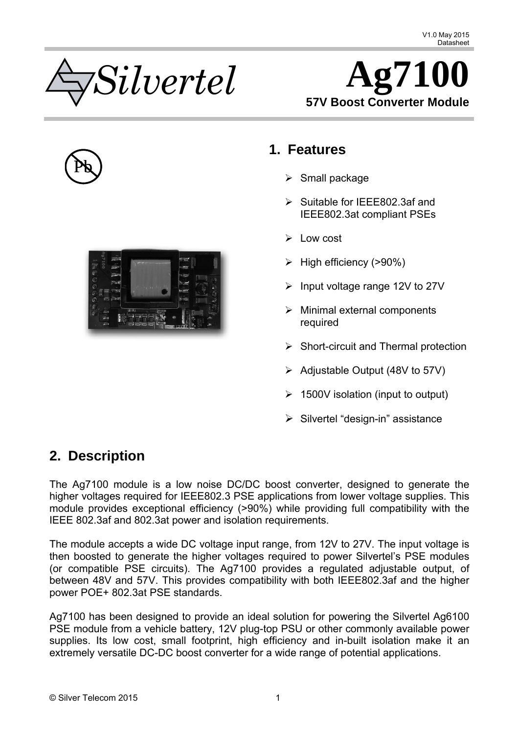<span id="page-0-0"></span>







## **1. Features**

- $\triangleright$  Small package
- ¾ Suitable for IEEE802.3af and IEEE802.3at compliant PSEs
- $\triangleright$  Low cost
- $\triangleright$  High efficiency (>90%)
- $\triangleright$  Input voltage range 12V to 27V
- $\triangleright$  Minimal external components required
- $\triangleright$  Short-circuit and Thermal protection
- $\triangleright$  Adjustable Output (48V to 57V)
- $\geq 1500V$  isolation (input to output)
- $\triangleright$  Silvertel "design-in" assistance

# **2. Description**

The Ag7100 module is a low noise DC/DC boost converter, designed to generate the higher voltages required for IEEE802.3 PSE applications from lower voltage supplies. This module provides exceptional efficiency (>90%) while providing full compatibility with the IEEE 802.3af and 802.3at power and isolation requirements.

The module accepts a wide DC voltage input range, from 12V to 27V. The input voltage is then boosted to generate the higher voltages required to power Silvertel's PSE modules (or compatible PSE circuits). The Ag7100 provides a regulated adjustable output, of between 48V and 57V. This provides compatibility with both IEEE802.3af and the higher power POE+ 802.3at PSE standards.

Ag7100 has been designed to provide an ideal solution for powering the Silvertel Ag6100 PSE module from a vehicle battery, 12V plug-top PSU or other commonly available power supplies. Its low cost, small footprint, high efficiency and in-built isolation make it an extremely versatile DC-DC boost converter for a wide range of potential applications.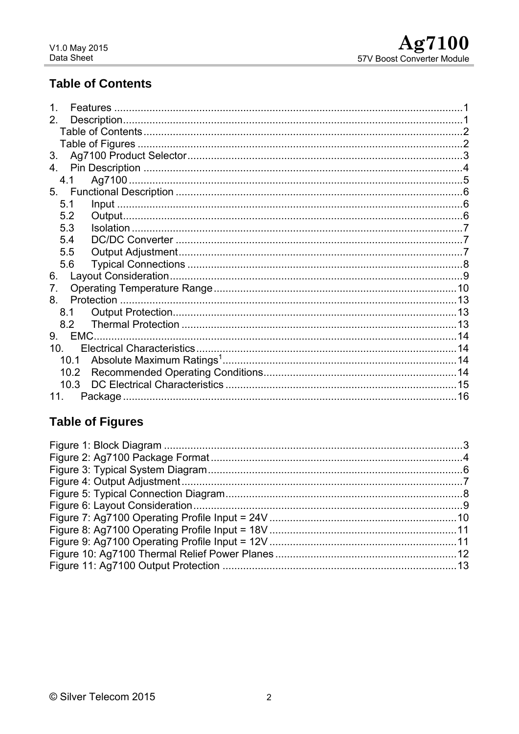## <span id="page-1-0"></span>**Table of Contents**

| $\mathbf 1$<br><b>Features</b> |  |
|--------------------------------|--|
| 2 <sup>1</sup>                 |  |
|                                |  |
|                                |  |
| 3.                             |  |
| 4.                             |  |
| 4.1                            |  |
|                                |  |
| 5.1                            |  |
| 5.2                            |  |
| 5.3                            |  |
| 5.4                            |  |
| 5.5                            |  |
| 5.6                            |  |
| 6.                             |  |
| 7.                             |  |
| 8.                             |  |
| 8.1                            |  |
| 8.2                            |  |
| EMC.<br>9.                     |  |
| 10 <sup>1</sup>                |  |
| 10.1                           |  |
| 10.2                           |  |
| 10.3                           |  |
| 11.                            |  |

## **Table of Figures**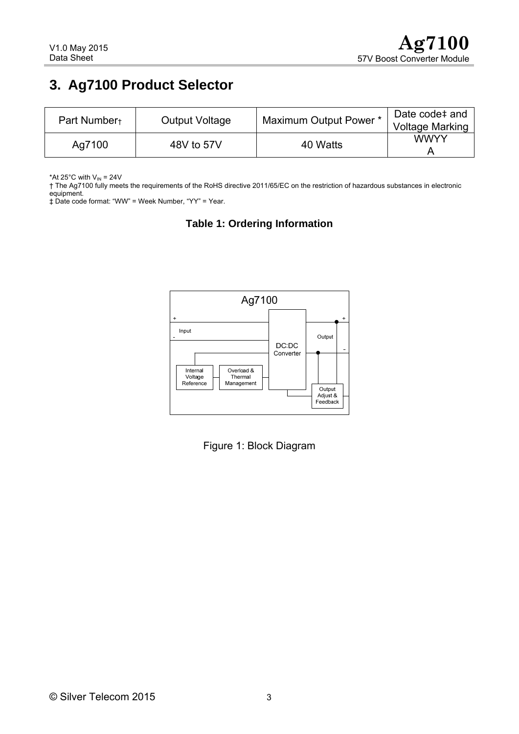# <span id="page-2-0"></span>**3. Ag7100 Product Selector**

| Part Number+ | <b>Output Voltage</b> | Maximum Output Power * | Date code# and<br><b>Voltage Marking</b> |
|--------------|-----------------------|------------------------|------------------------------------------|
| Ag7100       | 48V to 57V            | 40 Watts               | WWYY                                     |

\*At 25°C with  $V_{\text{IN}}$  = 24V

† The Ag7100 fully meets the requirements of the RoHS directive 2011/65/EC on the restriction of hazardous substances in electronic equipment.

‡ Date code format: "WW" = Week Number, "YY" = Year.

#### **Table 1: Ordering Information**



Figure 1: Block Diagram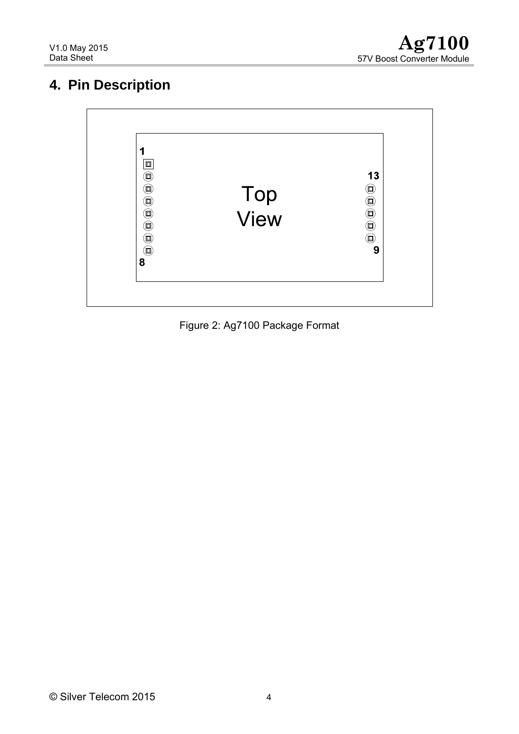# <span id="page-3-0"></span>**4. Pin Description**



Figure 2: Ag7100 Package Format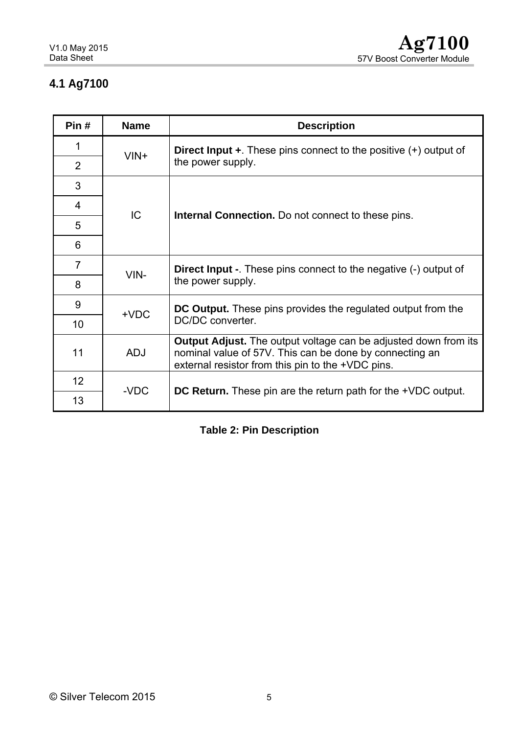# <span id="page-4-0"></span>**4.1 Ag7100**

| Pin#           | <b>Name</b> | <b>Description</b>                                                                                                                                                                     |  |  |  |  |  |
|----------------|-------------|----------------------------------------------------------------------------------------------------------------------------------------------------------------------------------------|--|--|--|--|--|
| 1              | $VIN+$      | <b>Direct Input +</b> . These pins connect to the positive $(+)$ output of                                                                                                             |  |  |  |  |  |
| $\overline{2}$ |             | the power supply.                                                                                                                                                                      |  |  |  |  |  |
| 3              |             |                                                                                                                                                                                        |  |  |  |  |  |
| 4              | IC          |                                                                                                                                                                                        |  |  |  |  |  |
| 5              |             | <b>Internal Connection.</b> Do not connect to these pins.                                                                                                                              |  |  |  |  |  |
| 6              |             |                                                                                                                                                                                        |  |  |  |  |  |
| $\overline{7}$ | VIN-        | <b>Direct lnput -</b> These pins connect to the negative (-) output of                                                                                                                 |  |  |  |  |  |
| 8              |             | the power supply.                                                                                                                                                                      |  |  |  |  |  |
| 9              | $+VDC$      | <b>DC Output.</b> These pins provides the regulated output from the                                                                                                                    |  |  |  |  |  |
| 10             |             | DC/DC converter.                                                                                                                                                                       |  |  |  |  |  |
| 11             | <b>ADJ</b>  | <b>Output Adjust.</b> The output voltage can be adjusted down from its<br>nominal value of 57V. This can be done by connecting an<br>external resistor from this pin to the +VDC pins. |  |  |  |  |  |
| 12             | -VDC        |                                                                                                                                                                                        |  |  |  |  |  |
| 13             |             | DC Return. These pin are the return path for the +VDC output.                                                                                                                          |  |  |  |  |  |

### **Table 2: Pin Description**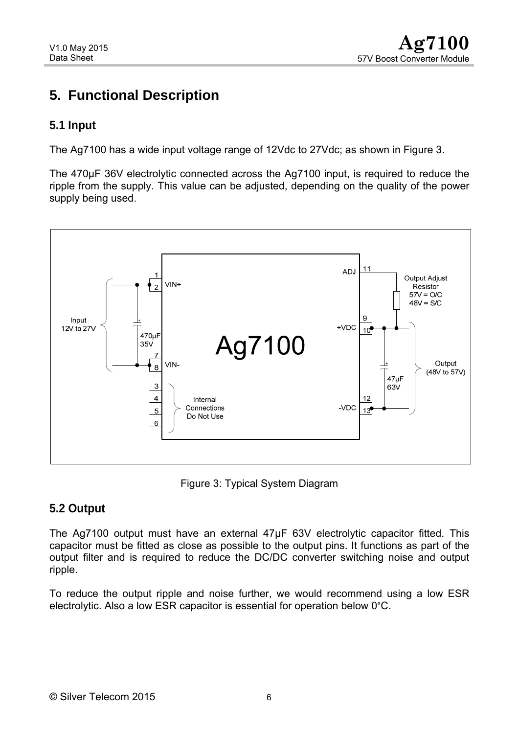# <span id="page-5-0"></span>**5. Functional Description**

#### **5.1 Input**

The Ag7100 has a wide input voltage range of 12Vdc to 27Vdc; as shown in Figure 3.

The 470µF 36V electrolytic connected across the Ag7100 input, is required to reduce the ripple from the supply. This value can be adjusted, depending on the quality of the power supply being used.



Figure 3: Typical System Diagram

### **5.2 Output**

The Ag7100 output must have an external 47µF 63V electrolytic capacitor fitted. This capacitor must be fitted as close as possible to the output pins. It functions as part of the output filter and is required to reduce the DC/DC converter switching noise and output ripple.

To reduce the output ripple and noise further, we would recommend using a low ESR electrolytic. Also a low ESR capacitor is essential for operation below 0°C.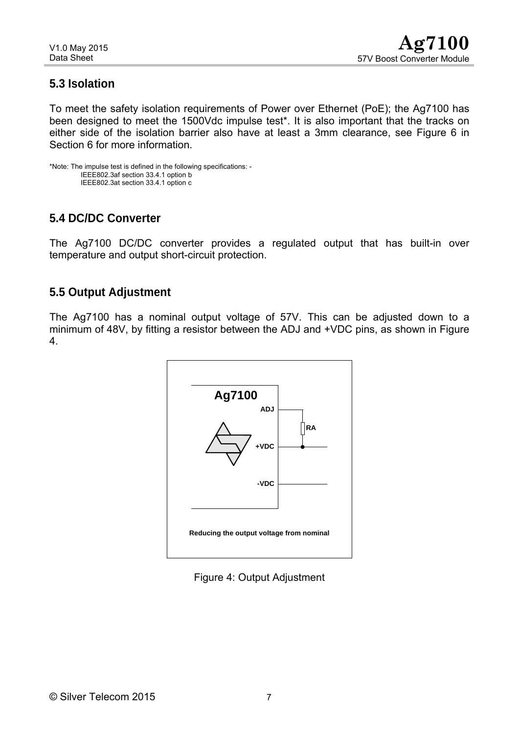### <span id="page-6-0"></span>**5.3 Isolation**

To meet the safety isolation requirements of Power over Ethernet (PoE); the Ag7100 has been designed to meet the 1500Vdc impulse test\*. It is also important that the tracks on either side of the isolation barrier also have at least a 3mm clearance, see Figure 6 in Section 6 for more information.

```
*Note: The impulse test is defined in the following specifications: - 
IEEE802.3af section 33.4.1 option b 
IEEE802.3at section 33.4.1 option c
```
### **5.4 DC/DC Converter**

The Ag7100 DC/DC converter provides a regulated output that has built-in over temperature and output short-circuit protection.

#### **5.5 Output Adjustment**

The Ag7100 has a nominal output voltage of 57V. This can be adjusted down to a minimum of 48V, by fitting a resistor between the ADJ and +VDC pins, as shown in Figure 4.



Figure 4: Output Adjustment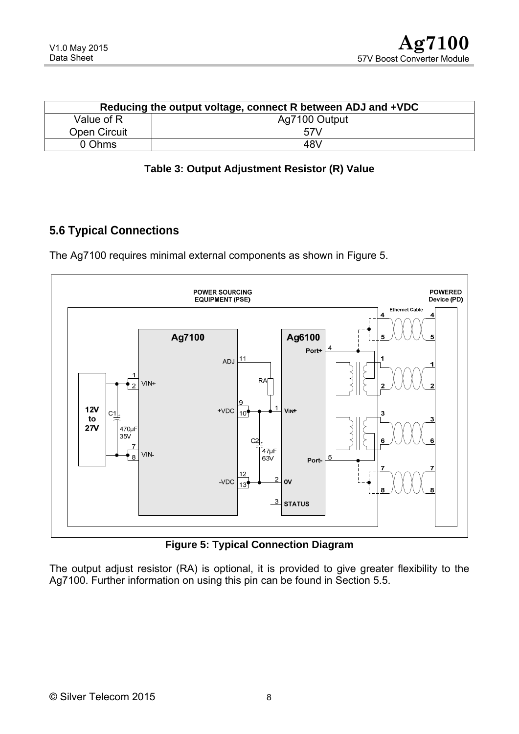<span id="page-7-0"></span>

| Reducing the output voltage, connect R between ADJ and +VDC |               |  |  |  |
|-------------------------------------------------------------|---------------|--|--|--|
| Value of R                                                  | Ag7100 Output |  |  |  |
| Open Circuit                                                | 57V           |  |  |  |
| 0 Ohms                                                      | 48V           |  |  |  |

| Table 3: Output Adjustment Resistor (R) Value |  |
|-----------------------------------------------|--|
|-----------------------------------------------|--|

### **5.6 Typical Connections**

The Ag7100 requires minimal external components as shown in Figure 5.



**Figure 5: Typical Connection Diagram** 

The output adjust resistor (RA) is optional, it is provided to give greater flexibility to the Ag7100. Further information on using this pin can be found in Section 5.5.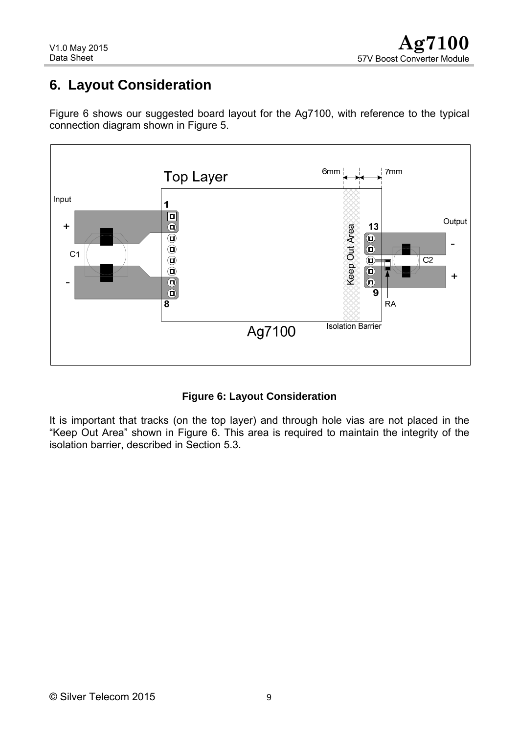# <span id="page-8-0"></span>**6. Layout Consideration**

Figure 6 shows our suggested board layout for the Ag7100, with reference to the typical connection diagram shown in Figure 5.



**Figure 6: Layout Consideration** 

It is important that tracks (on the top layer) and through hole vias are not placed in the "Keep Out Area" shown in Figure 6. This area is required to maintain the integrity of the isolation barrier, described in Section 5.3.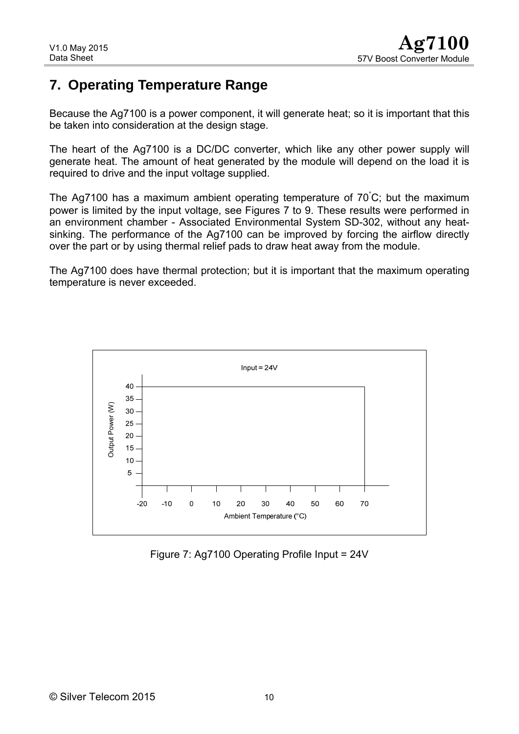## <span id="page-9-0"></span>**7. Operating Temperature Range**

Because the Ag7100 is a power component, it will generate heat; so it is important that this be taken into consideration at the design stage.

The heart of the Ag7100 is a DC/DC converter, which like any other power supply will generate heat. The amount of heat generated by the module will depend on the load it is required to drive and the input voltage supplied.

The Ag7100 has a maximum ambient operating temperature of 70° C; but the maximum power is limited by the input voltage, see Figures 7 to 9. These results were performed in an environment chamber - Associated Environmental System SD-302, without any heatsinking. The performance of the Ag7100 can be improved by forcing the airflow directly over the part or by using thermal relief pads to draw heat away from the module.

The Ag7100 does have thermal protection; but it is important that the maximum operating temperature is never exceeded.



Figure 7: Ag7100 Operating Profile Input = 24V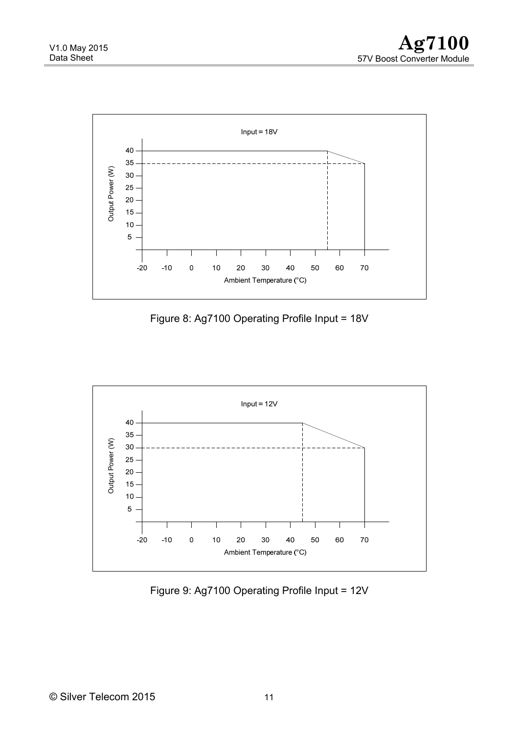<span id="page-10-0"></span>

Figure 8: Ag7100 Operating Profile Input = 18V



Figure 9: Ag7100 Operating Profile Input = 12V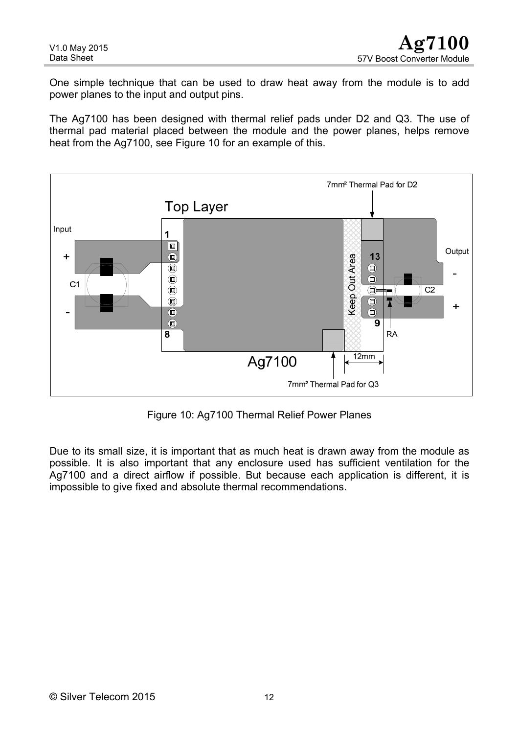<span id="page-11-0"></span>One simple technique that can be used to draw heat away from the module is to add power planes to the input and output pins.

The Ag7100 has been designed with thermal relief pads under D2 and Q3. The use of thermal pad material placed between the module and the power planes, helps remove heat from the Ag7100, see Figure 10 for an example of this.



Figure 10: Ag7100 Thermal Relief Power Planes

Due to its small size, it is important that as much heat is drawn away from the module as possible. It is also important that any enclosure used has sufficient ventilation for the Ag7100 and a direct airflow if possible. But because each application is different, it is impossible to give fixed and absolute thermal recommendations.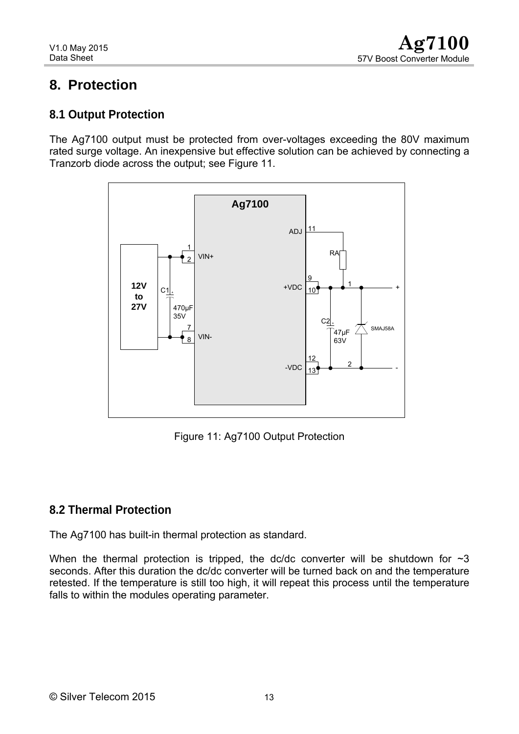## <span id="page-12-0"></span>**8. Protection**

#### **8.1 Output Protection**

The Ag7100 output must be protected from over-voltages exceeding the 80V maximum rated surge voltage. An inexpensive but effective solution can be achieved by connecting a Tranzorb diode across the output; see Figure 11.



Figure 11: Ag7100 Output Protection

### **8.2 Thermal Protection**

The Ag7100 has built-in thermal protection as standard.

When the thermal protection is tripped, the dc/dc converter will be shutdown for  $\sim$ 3 seconds. After this duration the dc/dc converter will be turned back on and the temperature retested. If the temperature is still too high, it will repeat this process until the temperature falls to within the modules operating parameter.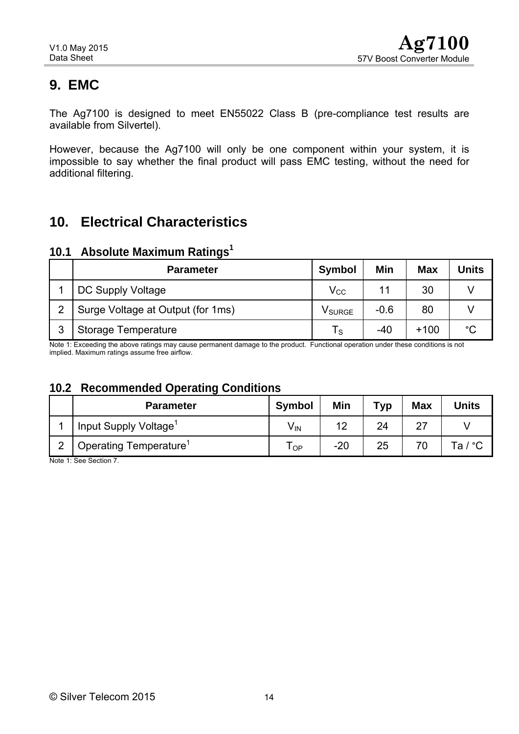# <span id="page-13-0"></span>**9. EMC**

The Ag7100 is designed to meet EN55022 Class B (pre-compliance test results are available from Silvertel).

However, because the Ag7100 will only be one component within your system, it is impossible to say whether the final product will pass EMC testing, without the need for additional filtering.

# **10. Electrical Characteristics**

### **10.1 Absolute Maximum Ratings<sup>1</sup>**

|   | <b>Parameter</b>                  | <b>Symbol</b>      | Min    | <b>Max</b> | Units |
|---|-----------------------------------|--------------------|--------|------------|-------|
|   | DC Supply Voltage                 | $\rm V_{CC}$       | 11     | 30         |       |
| っ | Surge Voltage at Output (for 1ms) | V <sub>SURGE</sub> | $-0.6$ | 80         |       |
| ິ | <b>Storage Temperature</b>        | I s                | $-40$  | $+100$     | °C    |

Note 1: Exceeding the above ratings may cause permanent damage to the product. Functional operation under these conditions is not implied. Maximum ratings assume free airflow.

#### **10.2 Recommended Operating Conditions**

|   | <b>Parameter</b>                   | <b>Symbol</b>   | Min   | Typ | <b>Max</b> | Units   |
|---|------------------------------------|-----------------|-------|-----|------------|---------|
|   | Input Supply Voltage <sup>1</sup>  | V <sub>IN</sub> | 12    | 24  | <u>L</u>   |         |
| ◠ | Operating Temperature <sup>1</sup> | I OP            | $-20$ | 25  |            | Ta / °C |

Note 1: See Section 7.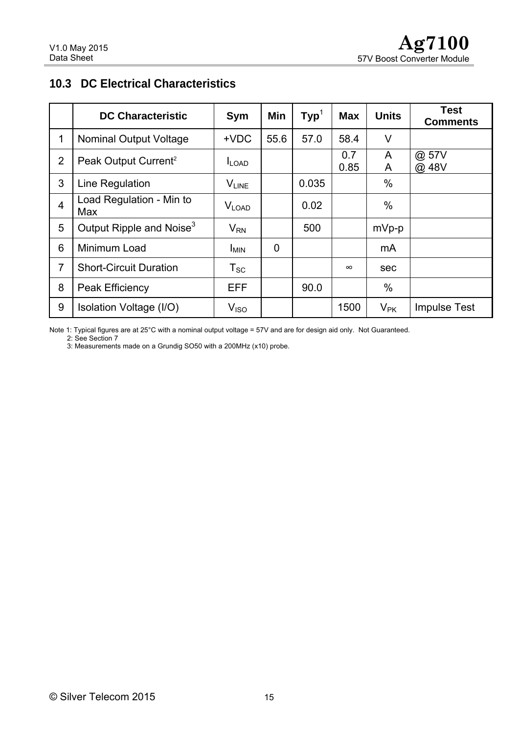### <span id="page-14-0"></span>**10.3 DC Electrical Characteristics**

|                | <b>DC Characteristic</b>             | <b>Sym</b>                    | Min            | $\mathsf{Typ}^1$ | <b>Max</b>  | <b>Units</b> | <b>Test</b><br><b>Comments</b> |
|----------------|--------------------------------------|-------------------------------|----------------|------------------|-------------|--------------|--------------------------------|
| $\mathbf 1$    | <b>Nominal Output Voltage</b>        | $+VDC$                        | 55.6           | 57.0             | 58.4        | V            |                                |
| 2              | Peak Output Current <sup>2</sup>     | $I_{LOAD}$                    |                |                  | 0.7<br>0.85 | A<br>A       | @ 57V<br>@ 48V                 |
| 3              | Line Regulation                      | <b>VLINE</b>                  |                | 0.035            |             | $\%$         |                                |
| $\overline{4}$ | Load Regulation - Min to<br>Max      | $V_{\text{LOAD}}$             |                | 0.02             |             | $\%$         |                                |
| 5              | Output Ripple and Noise <sup>3</sup> | $V_{\sf RN}$                  |                | 500              |             | mVp-p        |                                |
| 6              | Minimum Load                         | <b>I<sub>MIN</sub></b>        | $\overline{0}$ |                  |             | mA           |                                |
| $\overline{7}$ | <b>Short-Circuit Duration</b>        | $T_{\scriptstyle\textrm{SC}}$ |                |                  | $\infty$    | sec          |                                |
| 8              | Peak Efficiency                      | <b>EFF</b>                    |                | 90.0             |             | $\%$         |                                |
| 9              | Isolation Voltage (I/O)              | V <sub>ISO</sub>              |                |                  | 1500        | $V_{\sf PK}$ | <b>Impulse Test</b>            |

Note 1: Typical figures are at 25°C with a nominal output voltage = 57V and are for design aid only. Not Guaranteed.

2: See Section 7

3: Measurements made on a Grundig SO50 with a 200MHz (x10) probe.